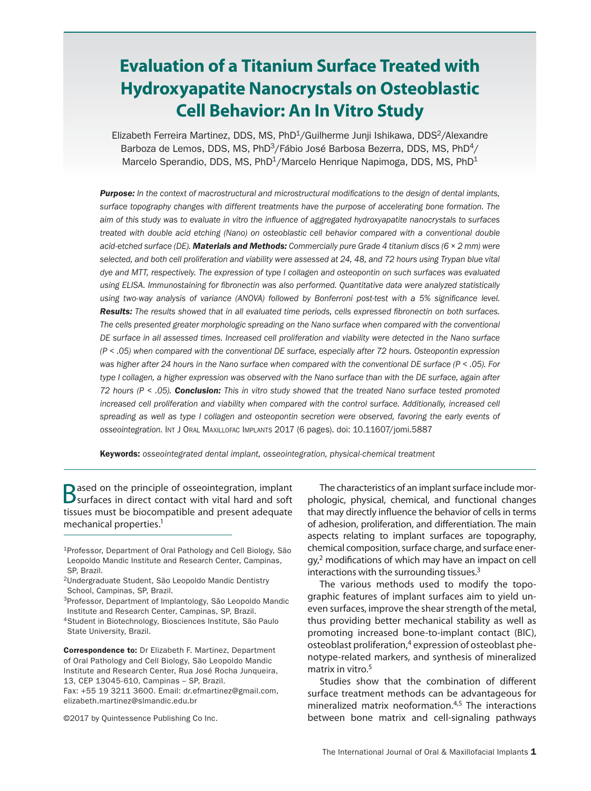# **Evaluation of a Titanium Surface Treated with Hydroxyapatite Nanocrystals on Osteoblastic Cell Behavior: An In Vitro Study**

Elizabeth Ferreira Martinez, DDS, MS, PhD<sup>1</sup>/Guilherme Junji Ishikawa, DDS<sup>2</sup>/Alexandre Barboza de Lemos, DDS, MS, PhD<sup>3</sup>/Fábio José Barbosa Bezerra, DDS, MS, PhD<sup>4</sup>/ Marcelo Sperandio, DDS, MS, PhD<sup>1</sup>/Marcelo Henrique Napimoga, DDS, MS, PhD<sup>1</sup>

*Purpose: In the context of macrostructural and microstructural modifications to the design of dental implants, surface topography changes with different treatments have the purpose of accelerating bone formation. The aim of this study was to evaluate in vitro the influence of aggregated hydroxyapatite nanocrystals to surfaces treated with double acid etching (Nano) on osteoblastic cell behavior compared with a conventional double acid-etched surface (DE). Materials and Methods: Commercially pure Grade 4 titanium discs (6 × 2 mm) were*  selected, and both cell proliferation and viability were assessed at 24, 48, and 72 hours using Trypan blue vital *dye and MTT, respectively. The expression of type I collagen and osteopontin on such surfaces was evaluated using ELISA. Immunostaining for fibronectin was also performed. Quantitative data were analyzed statistically*  using two-way analysis of variance (ANOVA) followed by Bonferroni post-test with a 5% significance level. *Results: The results showed that in all evaluated time periods, cells expressed fibronectin on both surfaces. The cells presented greater morphologic spreading on the Nano surface when compared with the conventional DE surface in all assessed times. Increased cell proliferation and viability were detected in the Nano surface (P < .05) when compared with the conventional DE surface, especially after 72 hours. Osteopontin expression was higher after 24 hours in the Nano surface when compared with the conventional DE surface (P < .05). For type I collagen, a higher expression was observed with the Nano surface than with the DE surface, again after 72 hours (P < .05). Conclusion: This in vitro study showed that the treated Nano surface tested promoted*  increased cell proliferation and viability when compared with the control surface. Additionally, increased cell *spreading as well as type I collagen and osteopontin secretion were observed, favoring the early events of osseointegration.* Int J Oral Maxillofac Implants 2017 (6 pages). doi: 10.11607/jomi.5887

Keywords: *osseointegrated dental implant, osseointegration, physical-chemical treatment*

**B**ased on the principle of osseointegration, implant **B** surfaces in direct contact with vital hard and soft tissues must be biocompatible and present adequate mechanical properties.<sup>1</sup>

- 1Professor, Department of Oral Pathology and Cell Biology, São Leopoldo Mandic Institute and Research Center, Campinas, SP, Brazil.
- 2Undergraduate Student, São Leopoldo Mandic Dentistry School, Campinas, SP, Brazil.
- 3Professor, Department of Implantology, São Leopoldo Mandic Institute and Research Center, Campinas, SP, Brazil.
- 4Student in Biotechnology, Biosciences Institute, São Paulo State University, Brazil.

Correspondence to: Dr Elizabeth F. Martinez, Department of Oral Pathology and Cell Biology, São Leopoldo Mandic Institute and Research Center, Rua José Rocha Junqueira, 13, CEP 13045-610, Campinas – SP, Brazil.

Fax: +55 19 3211 3600. Email: dr.efmartinez@gmail.com, elizabeth.martinez@slmandic.edu.br

©2017 by Quintessence Publishing Co Inc.

The characteristics of an implant surface include morphologic, physical, chemical, and functional changes that may directly influence the behavior of cells in terms of adhesion, proliferation, and differentiation. The main aspects relating to implant surfaces are topography, chemical composition, surface charge, and surface energy,2 modifications of which may have an impact on cell interactions with the surrounding tissues.<sup>3</sup>

The various methods used to modify the topographic features of implant surfaces aim to yield uneven surfaces, improve the shear strength of the metal, thus providing better mechanical stability as well as promoting increased bone-to-implant contact (BIC), osteoblast proliferation, $4$  expression of osteoblast phenotype-related markers, and synthesis of mineralized matrix in vitro.<sup>5</sup>

Studies show that the combination of different surface treatment methods can be advantageous for mineralized matrix neoformation.4,5 The interactions between bone matrix and cell-signaling pathways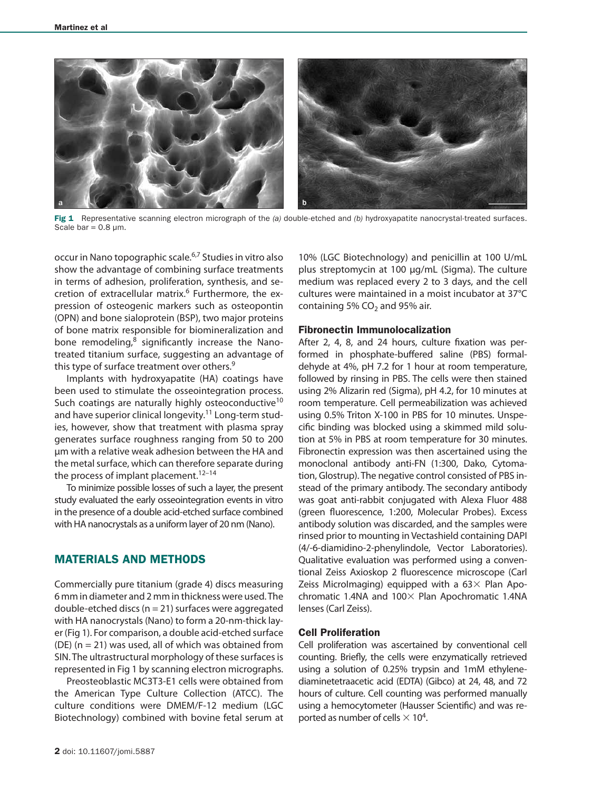

Fig 1 Representative scanning electron micrograph of the (a) double-etched and (b) hydroxyapatite nanocrystal-treated surfaces. Scale bar =  $0.8 \mu m$ .

occur in Nano topographic scale.6,7 Studies in vitro also show the advantage of combining surface treatments in terms of adhesion, proliferation, synthesis, and secretion of extracellular matrix.<sup>6</sup> Furthermore, the expression of osteogenic markers such as osteopontin (OPN) and bone sialoprotein (BSP), two major proteins of bone matrix responsible for biomineralization and bone remodeling, $8$  significantly increase the Nanotreated titanium surface, suggesting an advantage of this type of surface treatment over others.<sup>9</sup>

Implants with hydroxyapatite (HA) coatings have been used to stimulate the osseointegration process. Such coatings are naturally highly osteoconductive<sup>10</sup> and have superior clinical longevity.<sup>11</sup> Long-term studies, however, show that treatment with plasma spray generates surface roughness ranging from 50 to 200 μm with a relative weak adhesion between the HA and the metal surface, which can therefore separate during the process of implant placement.<sup>12–14</sup>

To minimize possible losses of such a layer, the present study evaluated the early osseointegration events in vitro in the presence of a double acid-etched surface combined with HA nanocrystals as a uniform layer of 20 nm (Nano).

# MATERIALS AND METHODS

Commercially pure titanium (grade 4) discs measuring 6 mm in diameter and 2 mm in thickness were used. The double-etched discs ( $n = 21$ ) surfaces were aggregated with HA nanocrystals (Nano) to form a 20-nm-thick layer (Fig 1). For comparison, a double acid-etched surface (DE)  $(n = 21)$  was used, all of which was obtained from SIN. The ultrastructural morphology of these surfaces is represented in Fig 1 by scanning electron micrographs.

Preosteoblastic MC3T3-E1 cells were obtained from the American Type Culture Collection (ATCC). The culture conditions were DMEM/F-12 medium (LGC Biotechnology) combined with bovine fetal serum at

10% (LGC Biotechnology) and penicillin at 100 U/mL plus streptomycin at 100 μg/mL (Sigma). The culture medium was replaced every 2 to 3 days, and the cell cultures were maintained in a moist incubator at 37°C containing 5%  $CO<sub>2</sub>$  and 95% air.

#### Fibronectin Immunolocalization

After 2, 4, 8, and 24 hours, culture fixation was performed in phosphate-buffered saline (PBS) formaldehyde at 4%, pH 7.2 for 1 hour at room temperature, followed by rinsing in PBS. The cells were then stained using 2% Alizarin red (Sigma), pH 4.2, for 10 minutes at room temperature. Cell permeabilization was achieved using 0.5% Triton X-100 in PBS for 10 minutes. Unspecific binding was blocked using a skimmed mild solution at 5% in PBS at room temperature for 30 minutes. Fibronectin expression was then ascertained using the monoclonal antibody anti-FN (1:300, Dako, Cytomation, Glostrup). The negative control consisted of PBS instead of the primary antibody. The secondary antibody was goat anti-rabbit conjugated with Alexa Fluor 488 (green fluorescence, 1:200, Molecular Probes). Excess antibody solution was discarded, and the samples were rinsed prior to mounting in Vectashield containing DAPI (4/-6-diamidino-2-phenylindole, Vector Laboratories). Qualitative evaluation was performed using a conventional Zeiss Axioskop 2 fluorescence microscope (Carl Zeiss Microlmaging) equipped with a  $63\times$  Plan Apochromatic 1.4NA and  $100\times$  Plan Apochromatic 1.4NA lenses (Carl Zeiss).

#### Cell Proliferation

Cell proliferation was ascertained by conventional cell counting. Briefly, the cells were enzymatically retrieved using a solution of 0.25% trypsin and 1mM ethylenediaminetetraacetic acid (EDTA) (Gibco) at 24, 48, and 72 hours of culture. Cell counting was performed manually using a hemocytometer (Hausser Scientific) and was reported as number of cells  $\times$  10<sup>4</sup>.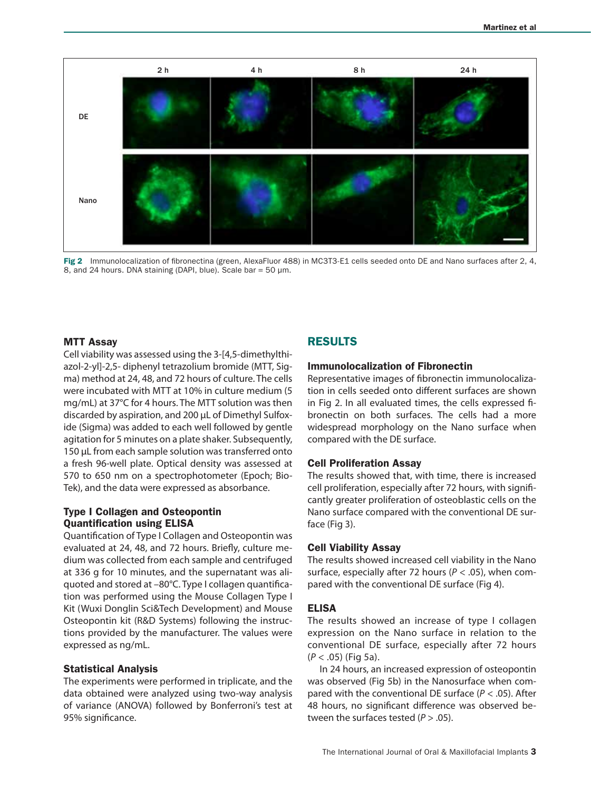

Fig 2 Immunolocalization of fibronectina (green, AlexaFluor 488) in MC3T3-E1 cells seeded onto DE and Nano surfaces after 2, 4, 8, and 24 hours. DNA staining (DAPI, blue). Scale bar =  $50 \mu m$ .

#### MTT Assay

Cell viability was assessed using the 3-[4,5-dimethylthiazol-2-yl]-2,5- diphenyl tetrazolium bromide (MTT, Sigma) method at 24, 48, and 72 hours of culture. The cells were incubated with MTT at 10% in culture medium (5 mg/mL) at 37°C for 4 hours. The MTT solution was then discarded by aspiration, and 200 µL of Dimethyl Sulfoxide (Sigma) was added to each well followed by gentle agitation for 5 minutes on a plate shaker. Subsequently, 150 μL from each sample solution was transferred onto a fresh 96-well plate. Optical density was assessed at 570 to 650 nm on a spectrophotometer (Epoch; Bio-Tek), and the data were expressed as absorbance.

# Type I Collagen and Osteopontin Quantification using ELISA

Quantification of Type I Collagen and Osteopontin was evaluated at 24, 48, and 72 hours. Briefly, culture medium was collected from each sample and centrifuged at 336 g for 10 minutes, and the supernatant was aliquoted and stored at –80°C. Type I collagen quantification was performed using the Mouse Collagen Type I Kit (Wuxi Donglin Sci&Tech Development) and Mouse Osteopontin kit (R&D Systems) following the instructions provided by the manufacturer. The values were expressed as ng/mL.

#### Statistical Analysis

The experiments were performed in triplicate, and the data obtained were analyzed using two-way analysis of variance (ANOVA) followed by Bonferroni's test at 95% significance.

# RESULTS

#### Immunolocalization of Fibronectin

Representative images of fibronectin immunolocalization in cells seeded onto different surfaces are shown in Fig 2. In all evaluated times, the cells expressed fibronectin on both surfaces. The cells had a more widespread morphology on the Nano surface when compared with the DE surface.

#### Cell Proliferation Assay

The results showed that, with time, there is increased cell proliferation, especially after 72 hours, with significantly greater proliferation of osteoblastic cells on the Nano surface compared with the conventional DE surface (Fig 3).

#### Cell Viability Assay

The results showed increased cell viability in the Nano surface, especially after 72 hours (*P* < .05), when compared with the conventional DE surface (Fig 4).

#### ELISA

The results showed an increase of type I collagen expression on the Nano surface in relation to the conventional DE surface, especially after 72 hours (*P* < .05) (Fig 5a).

In 24 hours, an increased expression of osteopontin was observed (Fig 5b) in the Nanosurface when compared with the conventional DE surface (*P* < .05). After 48 hours, no significant difference was observed between the surfaces tested (*P* > .05).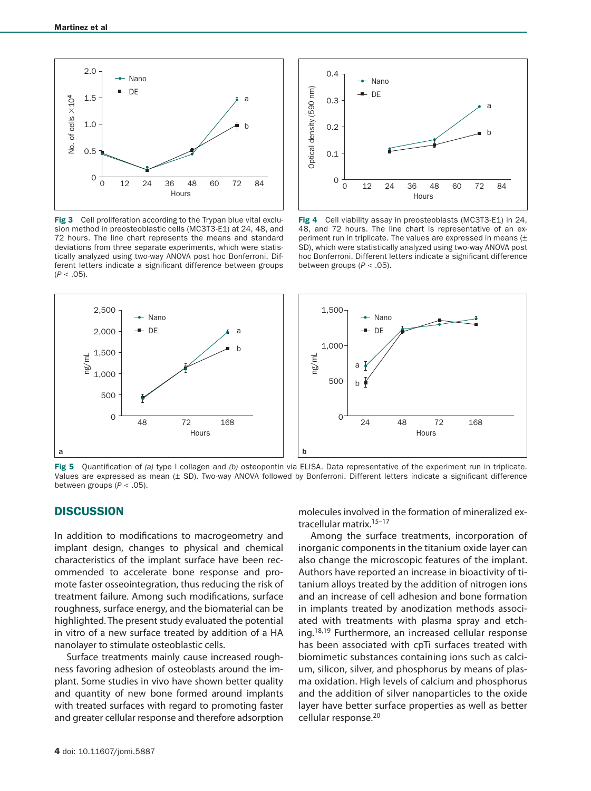

Fig 3 Cell proliferation according to the Trypan blue vital exclusion method in preosteoblastic cells (MC3T3-E1) at 24, 48, and 72 hours. The line chart represents the means and standard deviations from three separate experiments, which were statistically analyzed using two-way ANOVA post hoc Bonferroni. Different letters indicate a significant difference between groups  $(P < .05)$ .



Fig 4 Cell viability assay in preosteoblasts (MC3T3-E1) in 24, 48, and 72 hours. The line chart is representative of an experiment run in triplicate. The values are expressed in means (± SD), which were statistically analyzed using two-way ANOVA post hoc Bonferroni. Different letters indicate a significant difference between groups (*P* < .05).



Fig 5 Quantification of *(a)* type I collagen and *(b)* osteopontin via ELISA. Data representative of the experiment run in triplicate. Values are expressed as mean (± SD). Two-way ANOVA followed by Bonferroni. Different letters indicate a significant difference between groups (*P* < .05).

#### **DISCUSSION**

In addition to modifications to macrogeometry and implant design, changes to physical and chemical characteristics of the implant surface have been recommended to accelerate bone response and promote faster osseointegration, thus reducing the risk of treatment failure. Among such modifications, surface roughness, surface energy, and the biomaterial can be highlighted. The present study evaluated the potential in vitro of a new surface treated by addition of a HA nanolayer to stimulate osteoblastic cells.

Surface treatments mainly cause increased roughness favoring adhesion of osteoblasts around the implant. Some studies in vivo have shown better quality and quantity of new bone formed around implants with treated surfaces with regard to promoting faster and greater cellular response and therefore adsorption

molecules involved in the formation of mineralized extracellular matrix.<sup>15-17</sup>

Among the surface treatments, incorporation of inorganic components in the titanium oxide layer can also change the microscopic features of the implant. Authors have reported an increase in bioactivity of titanium alloys treated by the addition of nitrogen ions and an increase of cell adhesion and bone formation in implants treated by anodization methods associated with treatments with plasma spray and etching.<sup>18,19</sup> Furthermore, an increased cellular response has been associated with cpTi surfaces treated with biomimetic substances containing ions such as calcium, silicon, silver, and phosphorus by means of plasma oxidation. High levels of calcium and phosphorus and the addition of silver nanoparticles to the oxide layer have better surface properties as well as better cellular response.20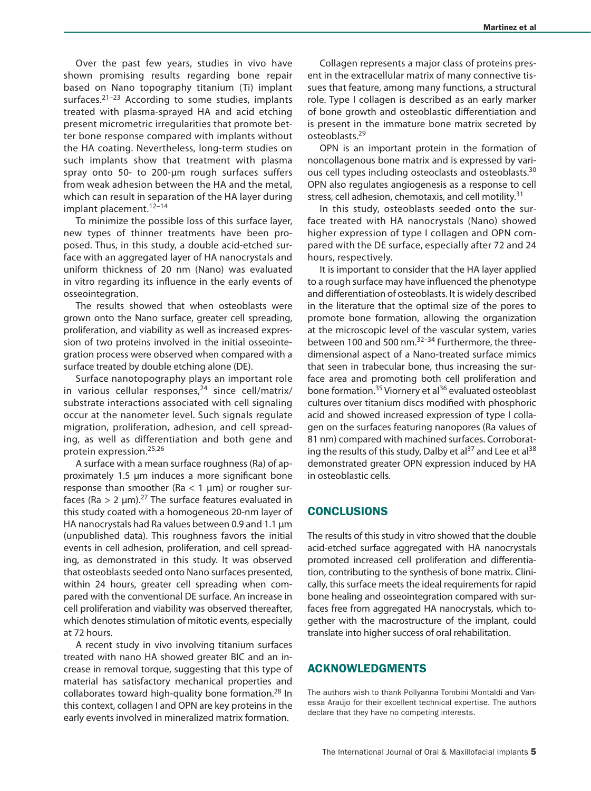Over the past few years, studies in vivo have shown promising results regarding bone repair based on Nano topography titanium (Ti) implant surfaces. $21-23$  According to some studies, implants treated with plasma-sprayed HA and acid etching present micrometric irregularities that promote better bone response compared with implants without the HA coating. Nevertheless, long-term studies on such implants show that treatment with plasma spray onto 50- to 200-μm rough surfaces suffers from weak adhesion between the HA and the metal, which can result in separation of the HA layer during implant placement.<sup>12-14</sup>

To minimize the possible loss of this surface layer, new types of thinner treatments have been proposed. Thus, in this study, a double acid-etched surface with an aggregated layer of HA nanocrystals and uniform thickness of 20 nm (Nano) was evaluated in vitro regarding its influence in the early events of osseointegration.

The results showed that when osteoblasts were grown onto the Nano surface, greater cell spreading, proliferation, and viability as well as increased expression of two proteins involved in the initial osseointegration process were observed when compared with a surface treated by double etching alone (DE).

Surface nanotopography plays an important role in various cellular responses, $24$  since cell/matrix/ substrate interactions associated with cell signaling occur at the nanometer level. Such signals regulate migration, proliferation, adhesion, and cell spreading, as well as differentiation and both gene and protein expression.25,26

A surface with a mean surface roughness (Ra) of approximately 1.5 μm induces a more significant bone response than smoother (Ra  $<$  1  $\mu$ m) or rougher surfaces (Ra  $> 2 \mu m$ ).<sup>27</sup> The surface features evaluated in this study coated with a homogeneous 20-nm layer of HA nanocrystals had Ra values between 0.9 and 1.1 μm (unpublished data). This roughness favors the initial events in cell adhesion, proliferation, and cell spreading, as demonstrated in this study. It was observed that osteoblasts seeded onto Nano surfaces presented, within 24 hours, greater cell spreading when compared with the conventional DE surface. An increase in cell proliferation and viability was observed thereafter, which denotes stimulation of mitotic events, especially at 72 hours.

A recent study in vivo involving titanium surfaces treated with nano HA showed greater BIC and an increase in removal torque, suggesting that this type of material has satisfactory mechanical properties and collaborates toward high-quality bone formation.<sup>28</sup> In this context, collagen I and OPN are key proteins in the early events involved in mineralized matrix formation.

Collagen represents a major class of proteins present in the extracellular matrix of many connective tissues that feature, among many functions, a structural role. Type I collagen is described as an early marker of bone growth and osteoblastic differentiation and is present in the immature bone matrix secreted by osteoblasts.29

OPN is an important protein in the formation of noncollagenous bone matrix and is expressed by various cell types including osteoclasts and osteoblasts.30 OPN also regulates angiogenesis as a response to cell stress, cell adhesion, chemotaxis, and cell motility.<sup>31</sup>

In this study, osteoblasts seeded onto the surface treated with HA nanocrystals (Nano) showed higher expression of type I collagen and OPN compared with the DE surface, especially after 72 and 24 hours, respectively.

It is important to consider that the HA layer applied to a rough surface may have influenced the phenotype and differentiation of osteoblasts. It is widely described in the literature that the optimal size of the pores to promote bone formation, allowing the organization at the microscopic level of the vascular system, varies between 100 and 500 nm.<sup>32-34</sup> Furthermore, the threedimensional aspect of a Nano-treated surface mimics that seen in trabecular bone, thus increasing the surface area and promoting both cell proliferation and bone formation.<sup>35</sup> Viornery et al<sup>36</sup> evaluated osteoblast cultures over titanium discs modified with phosphoric acid and showed increased expression of type I collagen on the surfaces featuring nanopores (Ra values of 81 nm) compared with machined surfaces. Corroborating the results of this study, Dalby et al<sup>37</sup> and Lee et al<sup>38</sup> demonstrated greater OPN expression induced by HA in osteoblastic cells.

#### **CONCLUSIONS**

The results of this study in vitro showed that the double acid-etched surface aggregated with HA nanocrystals promoted increased cell proliferation and differentiation, contributing to the synthesis of bone matrix. Clinically, this surface meets the ideal requirements for rapid bone healing and osseointegration compared with surfaces free from aggregated HA nanocrystals, which together with the macrostructure of the implant, could translate into higher success of oral rehabilitation.

#### ACKNOWLEDGMENTS

The authors wish to thank Pollyanna Tombini Montaldi and Vanessa Araújo for their excellent technical expertise. The authors declare that they have no competing interests.